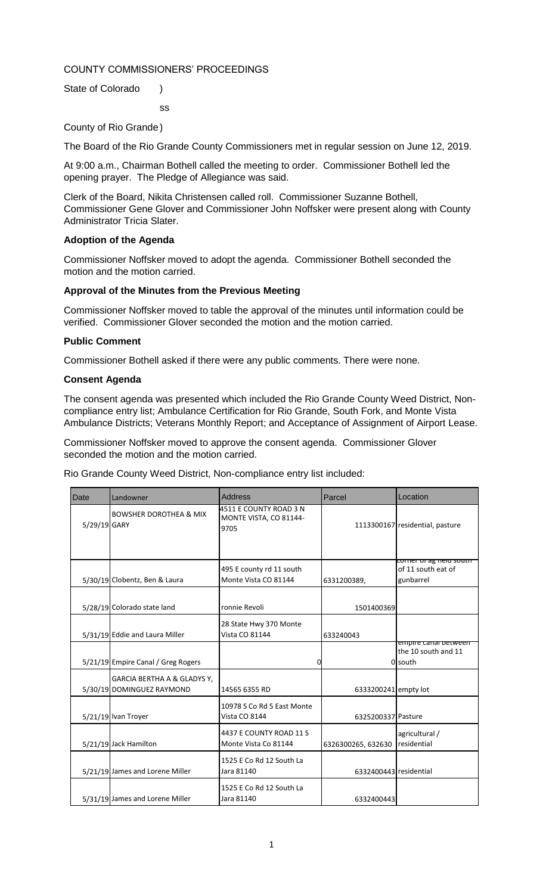### COUNTY COMMISSIONERS' PROCEEDINGS

ss

State of Colorado )

County of Rio Grande)

The Board of the Rio Grande County Commissioners met in regular session on June 12, 2019.

At 9:00 a.m., Chairman Bothell called the meeting to order. Commissioner Bothell led the opening prayer. The Pledge of Allegiance was said.

Clerk of the Board, Nikita Christensen called roll. Commissioner Suzanne Bothell, Commissioner Gene Glover and Commissioner John Noffsker were present along with County Administrator Tricia Slater.

#### **Adoption of the Agenda**

Commissioner Noffsker moved to adopt the agenda. Commissioner Bothell seconded the motion and the motion carried.

#### **Approval of the Minutes from the Previous Meeting**

Commissioner Noffsker moved to table the approval of the minutes until information could be verified. Commissioner Glover seconded the motion and the motion carried.

#### **Public Comment**

Commissioner Bothell asked if there were any public comments. There were none.

#### **Consent Agenda**

The consent agenda was presented which included the Rio Grande County Weed District, Noncompliance entry list; Ambulance Certification for Rio Grande, South Fork, and Monte Vista Ambulance Districts; Veterans Monthly Report; and Acceptance of Assignment of Airport Lease.

Commissioner Noffsker moved to approve the consent agenda. Commissioner Glover seconded the motion and the motion carried.

Rio Grande County Weed District, Non-compliance entry list included:

| Date         | Landowner                                                | <b>Address</b>                                           | Parcel                 | Location                                                          |
|--------------|----------------------------------------------------------|----------------------------------------------------------|------------------------|-------------------------------------------------------------------|
| 5/29/19 GARY | <b>BOWSHER DOROTHEA &amp; MIX</b>                        | 4511 E COUNTY ROAD 3 N<br>MONTE VISTA, CO 81144-<br>9705 |                        | 1113300167 residential, pasture                                   |
|              |                                                          |                                                          |                        | corner or ag neiu soutn                                           |
|              | 5/30/19 Clobentz, Ben & Laura                            | 495 E county rd 11 south<br>Monte Vista CO 81144         | 6331200389,            | of 11 south eat of<br>gunbarrel                                   |
|              | 5/28/19 Colorado state land                              | ronnie Revoli                                            | 1501400369             |                                                                   |
|              | 5/31/19 Eddie and Laura Miller                           | 28 State Hwy 370 Monte<br>Vista CO 81144                 | 633240043              |                                                                   |
|              | 5/21/19 Empire Canal / Greg Rogers                       |                                                          |                        | <del>empire canai between</del><br>the 10 south and 11<br>0 south |
|              | GARCIA BERTHA A & GLADYS Y,<br>5/30/19 DOMINGUEZ RAYMOND | 14565 6355 RD                                            | 6333200241 empty lot   |                                                                   |
|              | 5/21/19 Ivan Troyer                                      | 10978 S Co Rd 5 East Monte<br>Vista CO 8144              | 6325200337 Pasture     |                                                                   |
|              | 5/21/19 Jack Hamilton                                    | 4437 E COUNTY ROAD 11 S<br>Monte Vista Co 81144          | 6326300265, 632630     | agricultural /<br>residential                                     |
|              | 5/21/19 James and Lorene Miller                          | 1525 E Co Rd 12 South La<br>Jara 81140                   | 6332400443 residential |                                                                   |
|              | 5/31/19 James and Lorene Miller                          | 1525 E Co Rd 12 South La<br>Jara 81140                   | 6332400443             |                                                                   |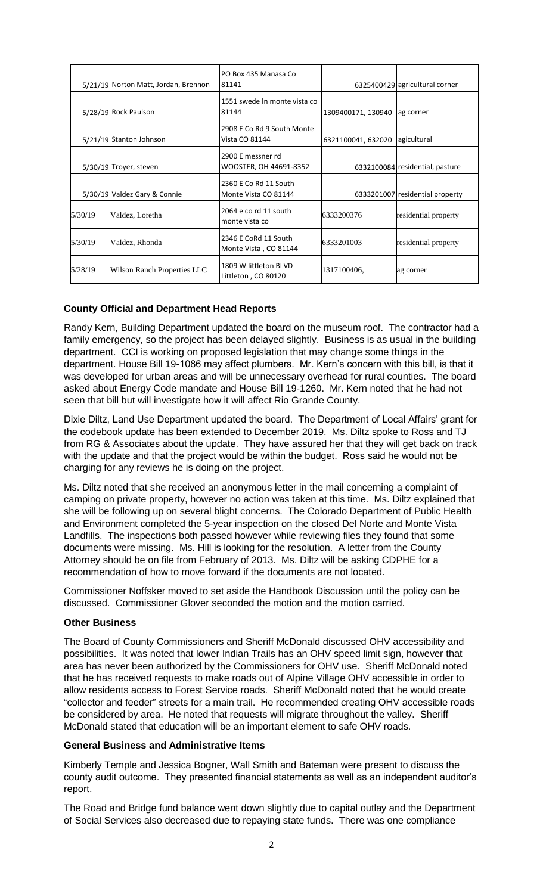|         | 5/21/19 Norton Matt, Jordan, Brennon | PO Box 435 Manasa Co<br>81141                 |                    | 6325400429 agricultural corner  |
|---------|--------------------------------------|-----------------------------------------------|--------------------|---------------------------------|
|         | 5/28/19 Rock Paulson                 | 1551 swede In monte vista co<br>81144         | 1309400171, 130940 | ag corner                       |
|         | 5/21/19 Stanton Johnson              | 2908 E Co Rd 9 South Monte<br>Vista CO 81144  | 6321100041, 632020 | agicultural                     |
|         | 5/30/19 Troyer, steven               | 2900 E messner rd<br>WOOSTER, OH 44691-8352   |                    | 6332100084 residential, pasture |
|         | 5/30/19 Valdez Gary & Connie         | 2360 E Co Rd 11 South<br>Monte Vista CO 81144 |                    | 6333201007 residential property |
| 5/30/19 | Valdez, Loretha                      | 2064 e co rd 11 south<br>monte vista co       | 6333200376         | residential property            |
| 5/30/19 | Valdez, Rhonda                       | 2346 E CoRd 11 South<br>Monte Vista, CO 81144 | 6333201003         | residential property            |
| 5/28/19 | Wilson Ranch Properties LLC          | 1809 W littleton BLVD<br>Littleton, CO 80120  | 1317100406.        | ag corner                       |

### **County Official and Department Head Reports**

Randy Kern, Building Department updated the board on the museum roof. The contractor had a family emergency, so the project has been delayed slightly. Business is as usual in the building department. CCI is working on proposed legislation that may change some things in the department. House Bill 19-1086 may affect plumbers. Mr. Kern's concern with this bill, is that it was developed for urban areas and will be unnecessary overhead for rural counties. The board asked about Energy Code mandate and House Bill 19-1260. Mr. Kern noted that he had not seen that bill but will investigate how it will affect Rio Grande County.

Dixie Diltz, Land Use Department updated the board. The Department of Local Affairs' grant for the codebook update has been extended to December 2019. Ms. Diltz spoke to Ross and TJ from RG & Associates about the update. They have assured her that they will get back on track with the update and that the project would be within the budget. Ross said he would not be charging for any reviews he is doing on the project.

Ms. Diltz noted that she received an anonymous letter in the mail concerning a complaint of camping on private property, however no action was taken at this time. Ms. Diltz explained that she will be following up on several blight concerns. The Colorado Department of Public Health and Environment completed the 5-year inspection on the closed Del Norte and Monte Vista Landfills. The inspections both passed however while reviewing files they found that some documents were missing. Ms. Hill is looking for the resolution. A letter from the County Attorney should be on file from February of 2013. Ms. Diltz will be asking CDPHE for a recommendation of how to move forward if the documents are not located.

Commissioner Noffsker moved to set aside the Handbook Discussion until the policy can be discussed. Commissioner Glover seconded the motion and the motion carried.

#### **Other Business**

The Board of County Commissioners and Sheriff McDonald discussed OHV accessibility and possibilities. It was noted that lower Indian Trails has an OHV speed limit sign, however that area has never been authorized by the Commissioners for OHV use. Sheriff McDonald noted that he has received requests to make roads out of Alpine Village OHV accessible in order to allow residents access to Forest Service roads. Sheriff McDonald noted that he would create "collector and feeder" streets for a main trail. He recommended creating OHV accessible roads be considered by area. He noted that requests will migrate throughout the valley. Sheriff McDonald stated that education will be an important element to safe OHV roads.

#### **General Business and Administrative Items**

Kimberly Temple and Jessica Bogner, Wall Smith and Bateman were present to discuss the county audit outcome. They presented financial statements as well as an independent auditor's report.

The Road and Bridge fund balance went down slightly due to capital outlay and the Department of Social Services also decreased due to repaying state funds. There was one compliance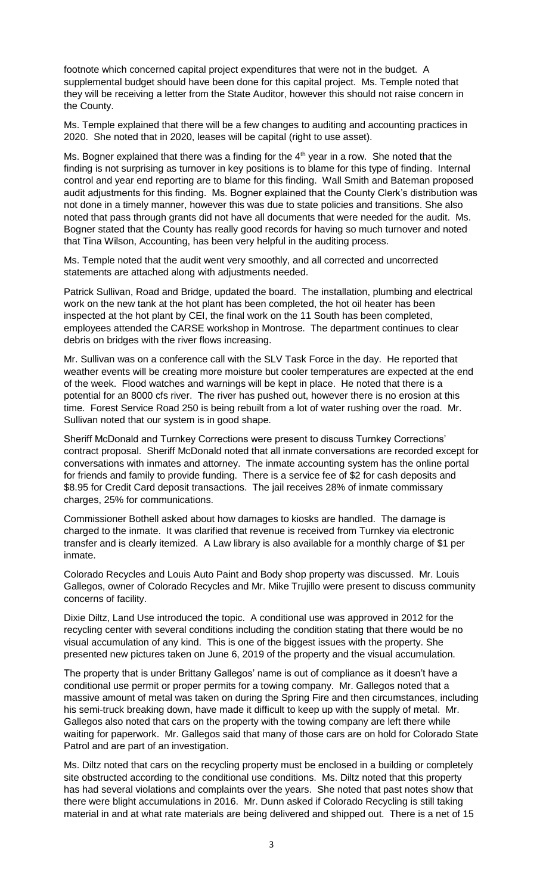footnote which concerned capital project expenditures that were not in the budget. A supplemental budget should have been done for this capital project. Ms. Temple noted that they will be receiving a letter from the State Auditor, however this should not raise concern in the County.

Ms. Temple explained that there will be a few changes to auditing and accounting practices in 2020. She noted that in 2020, leases will be capital (right to use asset).

Ms. Bogner explained that there was a finding for the 4<sup>th</sup> year in a row. She noted that the finding is not surprising as turnover in key positions is to blame for this type of finding. Internal control and year end reporting are to blame for this finding. Wall Smith and Bateman proposed audit adjustments for this finding. Ms. Bogner explained that the County Clerk's distribution was not done in a timely manner, however this was due to state policies and transitions. She also noted that pass through grants did not have all documents that were needed for the audit. Ms. Bogner stated that the County has really good records for having so much turnover and noted that Tina Wilson, Accounting, has been very helpful in the auditing process.

Ms. Temple noted that the audit went very smoothly, and all corrected and uncorrected statements are attached along with adjustments needed.

Patrick Sullivan, Road and Bridge, updated the board. The installation, plumbing and electrical work on the new tank at the hot plant has been completed, the hot oil heater has been inspected at the hot plant by CEI, the final work on the 11 South has been completed, employees attended the CARSE workshop in Montrose. The department continues to clear debris on bridges with the river flows increasing.

Mr. Sullivan was on a conference call with the SLV Task Force in the day. He reported that weather events will be creating more moisture but cooler temperatures are expected at the end of the week. Flood watches and warnings will be kept in place. He noted that there is a potential for an 8000 cfs river. The river has pushed out, however there is no erosion at this time. Forest Service Road 250 is being rebuilt from a lot of water rushing over the road. Mr. Sullivan noted that our system is in good shape.

Sheriff McDonald and Turnkey Corrections were present to discuss Turnkey Corrections' contract proposal. Sheriff McDonald noted that all inmate conversations are recorded except for conversations with inmates and attorney. The inmate accounting system has the online portal for friends and family to provide funding. There is a service fee of \$2 for cash deposits and \$8.95 for Credit Card deposit transactions. The jail receives 28% of inmate commissary charges, 25% for communications.

Commissioner Bothell asked about how damages to kiosks are handled. The damage is charged to the inmate. It was clarified that revenue is received from Turnkey via electronic transfer and is clearly itemized. A Law library is also available for a monthly charge of \$1 per inmate.

Colorado Recycles and Louis Auto Paint and Body shop property was discussed. Mr. Louis Gallegos, owner of Colorado Recycles and Mr. Mike Trujillo were present to discuss community concerns of facility.

Dixie Diltz, Land Use introduced the topic. A conditional use was approved in 2012 for the recycling center with several conditions including the condition stating that there would be no visual accumulation of any kind. This is one of the biggest issues with the property. She presented new pictures taken on June 6, 2019 of the property and the visual accumulation.

The property that is under Brittany Gallegos' name is out of compliance as it doesn't have a conditional use permit or proper permits for a towing company. Mr. Gallegos noted that a massive amount of metal was taken on during the Spring Fire and then circumstances, including his semi-truck breaking down, have made it difficult to keep up with the supply of metal. Mr. Gallegos also noted that cars on the property with the towing company are left there while waiting for paperwork. Mr. Gallegos said that many of those cars are on hold for Colorado State Patrol and are part of an investigation.

Ms. Diltz noted that cars on the recycling property must be enclosed in a building or completely site obstructed according to the conditional use conditions. Ms. Diltz noted that this property has had several violations and complaints over the years. She noted that past notes show that there were blight accumulations in 2016. Mr. Dunn asked if Colorado Recycling is still taking material in and at what rate materials are being delivered and shipped out. There is a net of 15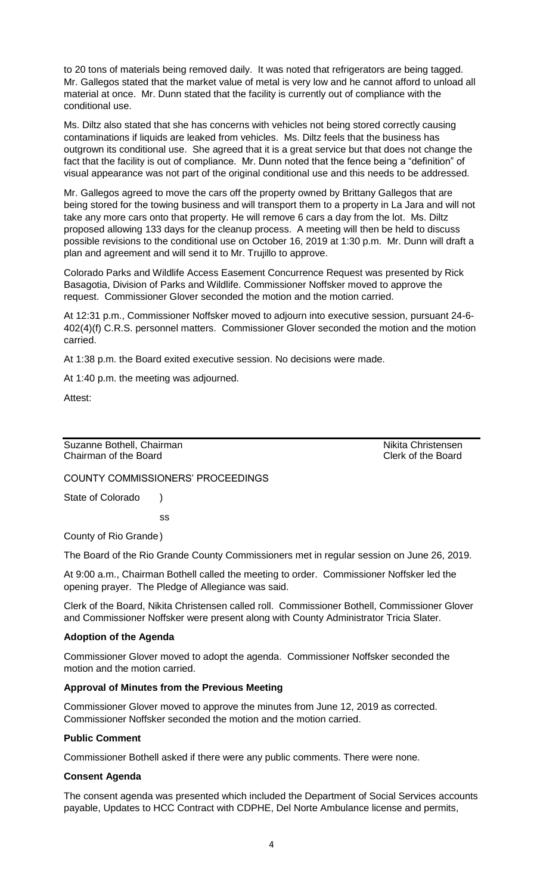to 20 tons of materials being removed daily. It was noted that refrigerators are being tagged. Mr. Gallegos stated that the market value of metal is very low and he cannot afford to unload all material at once. Mr. Dunn stated that the facility is currently out of compliance with the conditional use.

Ms. Diltz also stated that she has concerns with vehicles not being stored correctly causing contaminations if liquids are leaked from vehicles. Ms. Diltz feels that the business has outgrown its conditional use. She agreed that it is a great service but that does not change the fact that the facility is out of compliance. Mr. Dunn noted that the fence being a "definition" of visual appearance was not part of the original conditional use and this needs to be addressed.

Mr. Gallegos agreed to move the cars off the property owned by Brittany Gallegos that are being stored for the towing business and will transport them to a property in La Jara and will not take any more cars onto that property. He will remove 6 cars a day from the lot. Ms. Diltz proposed allowing 133 days for the cleanup process. A meeting will then be held to discuss possible revisions to the conditional use on October 16, 2019 at 1:30 p.m. Mr. Dunn will draft a plan and agreement and will send it to Mr. Trujillo to approve.

Colorado Parks and Wildlife Access Easement Concurrence Request was presented by Rick Basagotia, Division of Parks and Wildlife. Commissioner Noffsker moved to approve the request. Commissioner Glover seconded the motion and the motion carried.

At 12:31 p.m., Commissioner Noffsker moved to adjourn into executive session, pursuant 24-6- 402(4)(f) C.R.S. personnel matters. Commissioner Glover seconded the motion and the motion carried.

At 1:38 p.m. the Board exited executive session. No decisions were made.

At 1:40 p.m. the meeting was adjourned.

Attest:

Suzanne Bothell, Chairman Nikita Christensen Chairman of the Board Chairman of the Board

COUNTY COMMISSIONERS' PROCEEDINGS

State of Colorado )

ss

County of Rio Grande)

The Board of the Rio Grande County Commissioners met in regular session on June 26, 2019.

At 9:00 a.m., Chairman Bothell called the meeting to order. Commissioner Noffsker led the opening prayer. The Pledge of Allegiance was said.

Clerk of the Board, Nikita Christensen called roll. Commissioner Bothell, Commissioner Glover and Commissioner Noffsker were present along with County Administrator Tricia Slater.

#### **Adoption of the Agenda**

Commissioner Glover moved to adopt the agenda. Commissioner Noffsker seconded the motion and the motion carried.

#### **Approval of Minutes from the Previous Meeting**

Commissioner Glover moved to approve the minutes from June 12, 2019 as corrected. Commissioner Noffsker seconded the motion and the motion carried.

#### **Public Comment**

Commissioner Bothell asked if there were any public comments. There were none.

#### **Consent Agenda**

The consent agenda was presented which included the Department of Social Services accounts payable, Updates to HCC Contract with CDPHE, Del Norte Ambulance license and permits,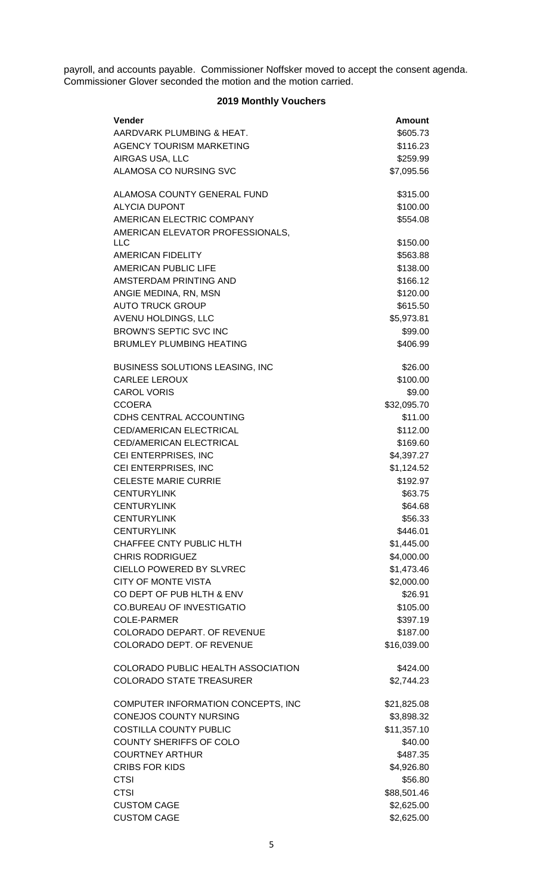payroll, and accounts payable. Commissioner Noffsker moved to accept the consent agenda. Commissioner Glover seconded the motion and the motion carried.

# **2019 Monthly Vouchers**

| Vender                                              | <b>Amount</b>          |
|-----------------------------------------------------|------------------------|
| AARDVARK PLUMBING & HEAT.                           | \$605.73               |
| AGENCY TOURISM MARKETING                            | \$116.23               |
| AIRGAS USA, LLC                                     | \$259.99               |
| ALAMOSA CO NURSING SVC                              | \$7,095.56             |
| ALAMOSA COUNTY GENERAL FUND                         | \$315.00               |
| <b>ALYCIA DUPONT</b>                                | \$100.00               |
| AMERICAN ELECTRIC COMPANY                           | \$554.08               |
| AMERICAN ELEVATOR PROFESSIONALS,<br><b>LLC</b>      | \$150.00               |
| <b>AMERICAN FIDELITY</b>                            | \$563.88               |
| AMERICAN PUBLIC LIFE                                | \$138.00               |
| AMSTERDAM PRINTING AND                              | \$166.12               |
| ANGIE MEDINA, RN, MSN                               | \$120.00               |
| <b>AUTO TRUCK GROUP</b>                             | \$615.50               |
| AVENU HOLDINGS, LLC                                 | \$5,973.81             |
| <b>BROWN'S SEPTIC SVC INC</b>                       | \$99.00                |
| <b>BRUMLEY PLUMBING HEATING</b>                     | \$406.99               |
| <b>BUSINESS SOLUTIONS LEASING, INC</b>              | \$26.00                |
| <b>CARLEE LEROUX</b>                                | \$100.00               |
| <b>CAROL VORIS</b>                                  | \$9.00                 |
| <b>CCOERA</b>                                       | \$32,095.70            |
| <b>CDHS CENTRAL ACCOUNTING</b>                      | \$11.00                |
| <b>CED/AMERICAN ELECTRICAL</b>                      | \$112.00               |
| CED/AMERICAN ELECTRICAL                             | \$169.60               |
| CEI ENTERPRISES, INC                                | \$4,397.27             |
| CEI ENTERPRISES, INC<br><b>CELESTE MARIE CURRIE</b> | \$1,124.52<br>\$192.97 |
| <b>CENTURYLINK</b>                                  | \$63.75                |
| <b>CENTURYLINK</b>                                  | \$64.68                |
| <b>CENTURYLINK</b>                                  | \$56.33                |
| <b>CENTURYLINK</b>                                  | \$446.01               |
| CHAFFEE CNTY PUBLIC HLTH                            | \$1,445.00             |
| <b>CHRIS RODRIGUEZ</b>                              | \$4,000.00             |
| <b>CIELLO POWERED BY SLVREC</b>                     | \$1,473.46             |
| <b>CITY OF MONTE VISTA</b>                          | \$2,000.00             |
| CO DEPT OF PUB HLTH & ENV                           | \$26.91                |
| <b>CO.BUREAU OF INVESTIGATIO</b>                    | \$105.00               |
| <b>COLE-PARMER</b>                                  | \$397.19               |
| COLORADO DEPART. OF REVENUE                         | \$187.00               |
| COLORADO DEPT. OF REVENUE                           | \$16,039.00            |
| COLORADO PUBLIC HEALTH ASSOCIATION                  | \$424.00               |
| <b>COLORADO STATE TREASURER</b>                     | \$2,744.23             |
| COMPUTER INFORMATION CONCEPTS, INC                  | \$21,825.08            |
| <b>CONEJOS COUNTY NURSING</b>                       | \$3,898.32             |
| <b>COSTILLA COUNTY PUBLIC</b>                       | \$11,357.10            |
| <b>COUNTY SHERIFFS OF COLO</b>                      | \$40.00                |
| <b>COURTNEY ARTHUR</b>                              | \$487.35               |
| <b>CRIBS FOR KIDS</b>                               | \$4,926.80             |
| <b>CTSI</b><br><b>CTSI</b>                          | \$56.80<br>\$88,501.46 |
| <b>CUSTOM CAGE</b>                                  | \$2,625.00             |
| <b>CUSTOM CAGE</b>                                  | \$2,625.00             |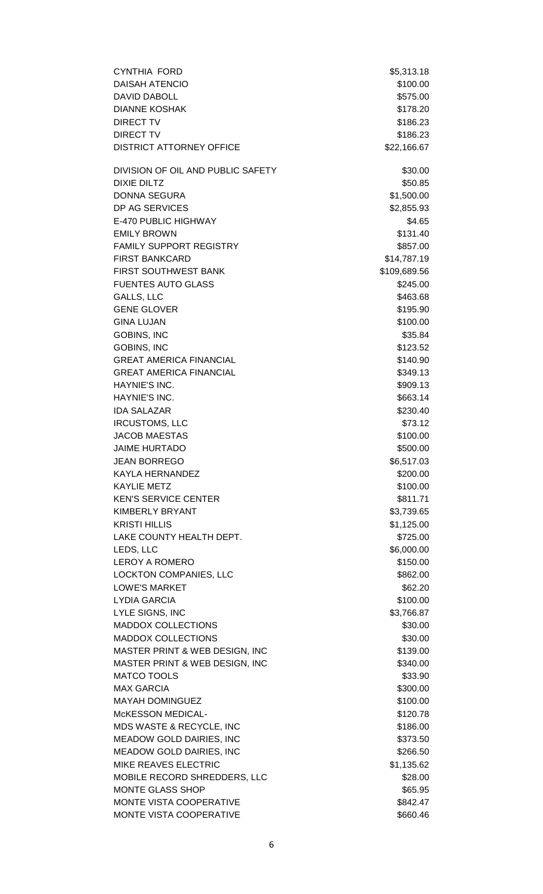| <b>CYNTHIA FORD</b>                           | \$5,313.18             |
|-----------------------------------------------|------------------------|
| <b>DAISAH ATENCIO</b>                         | \$100.00               |
| <b>DAVID DABOLL</b>                           | \$575.00               |
| <b>DIANNE KOSHAK</b>                          | \$178.20               |
| <b>DIRECT TV</b>                              | \$186.23               |
| <b>DIRECT TV</b>                              | \$186.23               |
| <b>DISTRICT ATTORNEY OFFICE</b>               | \$22,166.67            |
| DIVISION OF OIL AND PUBLIC SAFETY             | \$30.00                |
| <b>DIXIE DILTZ</b>                            | \$50.85                |
| <b>DONNA SEGURA</b>                           | \$1,500.00             |
| DP AG SERVICES                                | \$2,855.93             |
| E-470 PUBLIC HIGHWAY                          | \$4.65                 |
| <b>EMILY BROWN</b>                            | \$131.40               |
| FAMILY SUPPORT REGISTRY                       | \$857.00               |
| <b>FIRST BANKCARD</b>                         | \$14,787.19            |
| <b>FIRST SOUTHWEST BANK</b>                   | \$109,689.56           |
| <b>FUENTES AUTO GLASS</b>                     | \$245.00               |
| GALLS, LLC                                    | \$463.68               |
| <b>GENE GLOVER</b>                            | \$195.90               |
| <b>GINA LUJAN</b>                             | \$100.00               |
| <b>GOBINS, INC</b>                            | \$35.84                |
| <b>GOBINS, INC</b>                            | \$123.52               |
| <b>GREAT AMERICA FINANCIAL</b>                | \$140.90               |
| <b>GREAT AMERICA FINANCIAL</b>                | \$349.13               |
| HAYNIE'S INC.                                 | \$909.13               |
| HAYNIE'S INC.                                 | \$663.14               |
| <b>IDA SALAZAR</b>                            |                        |
|                                               | \$230.40<br>\$73.12    |
| <b>IRCUSTOMS, LLC</b><br><b>JACOB MAESTAS</b> |                        |
| <b>JAIME HURTADO</b>                          | \$100.00               |
|                                               | \$500.00<br>\$6,517.03 |
| <b>JEAN BORREGO</b>                           |                        |
| <b>KAYLA HERNANDEZ</b>                        | \$200.00               |
| <b>KAYLIE METZ</b>                            | \$100.00               |
| <b>KEN'S SERVICE CENTER</b>                   | \$811.71               |
| <b>KIMBERLY BRYANT</b>                        | \$3,739.65             |
| <b>KRISTI HILLIS</b>                          | \$1,125.00             |
| LAKE COUNTY HEALTH DEPT.                      | \$725.00               |
| LEDS, LLC                                     | \$6,000.00             |
| <b>LEROY A ROMERO</b>                         | \$150.00               |
| LOCKTON COMPANIES, LLC                        | \$862.00               |
| <b>LOWE'S MARKET</b>                          | \$62.20                |
| <b>LYDIA GARCIA</b>                           | \$100.00               |
| LYLE SIGNS, INC                               | \$3,766.87             |
| <b>MADDOX COLLECTIONS</b>                     | \$30.00                |
| <b>MADDOX COLLECTIONS</b>                     | \$30.00                |
| MASTER PRINT & WEB DESIGN, INC                | \$139.00               |
| MASTER PRINT & WEB DESIGN, INC                | \$340.00               |
| <b>MATCO TOOLS</b>                            | \$33.90                |
| <b>MAX GARCIA</b>                             | \$300.00               |
| <b>MAYAH DOMINGUEZ</b>                        | \$100.00               |
| McKESSON MEDICAL-                             | \$120.78               |
| MDS WASTE & RECYCLE, INC                      | \$186.00               |
| MEADOW GOLD DAIRIES, INC                      | \$373.50               |
| MEADOW GOLD DAIRIES, INC                      | \$266.50               |
| MIKE REAVES ELECTRIC                          | \$1,135.62             |
| MOBILE RECORD SHREDDERS, LLC                  | \$28.00                |
| MONTE GLASS SHOP                              | \$65.95                |
| <b>MONTE VISTA COOPERATIVE</b>                | \$842.47               |
| MONTE VISTA COOPERATIVE                       | \$660.46               |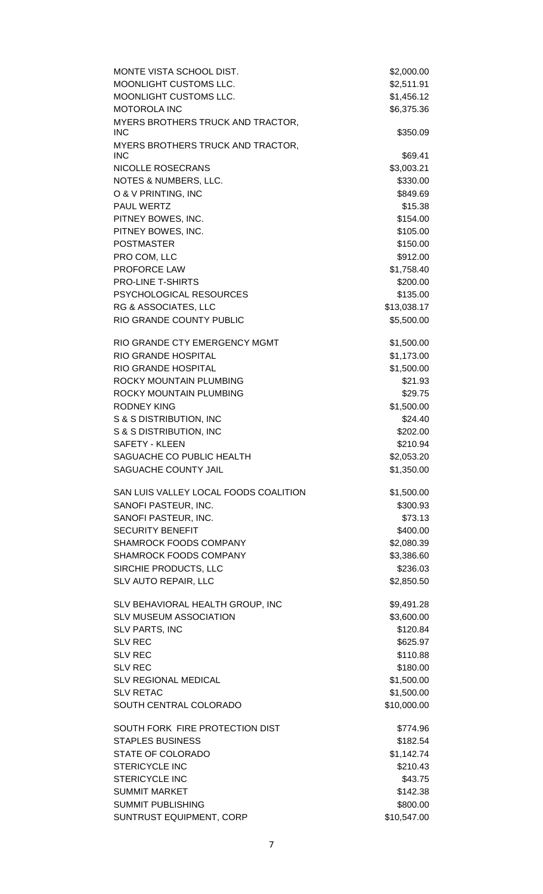| MONTE VISTA SCHOOL DIST.                        | \$2,000.00  |
|-------------------------------------------------|-------------|
| MOONLIGHT CUSTOMS LLC.                          | \$2,511.91  |
| MOONLIGHT CUSTOMS LLC.                          | \$1,456.12  |
| <b>MOTOROLA INC</b>                             | \$6,375.36  |
| MYERS BROTHERS TRUCK AND TRACTOR,<br><b>INC</b> | \$350.09    |
| MYERS BROTHERS TRUCK AND TRACTOR,<br><b>INC</b> | \$69.41     |
| NICOLLE ROSECRANS                               | \$3,003.21  |
| NOTES & NUMBERS, LLC.                           | \$330.00    |
| O & V PRINTING, INC                             | \$849.69    |
| PAUL WERTZ                                      | \$15.38     |
| PITNEY BOWES, INC.                              | \$154.00    |
| PITNEY BOWES, INC.                              | \$105.00    |
| <b>POSTMASTER</b>                               | \$150.00    |
| PRO COM, LLC                                    | \$912.00    |
| PROFORCE LAW                                    | \$1,758.40  |
| PRO-LINE T-SHIRTS                               | \$200.00    |
| PSYCHOLOGICAL RESOURCES                         | \$135.00    |
| RG & ASSOCIATES, LLC                            | \$13,038.17 |
| RIO GRANDE COUNTY PUBLIC                        | \$5,500.00  |
| RIO GRANDE CTY EMERGENCY MGMT                   | \$1,500.00  |
| RIO GRANDE HOSPITAL                             | \$1,173.00  |
| RIO GRANDE HOSPITAL                             | \$1,500.00  |
| ROCKY MOUNTAIN PLUMBING                         | \$21.93     |
| ROCKY MOUNTAIN PLUMBING                         | \$29.75     |
| <b>RODNEY KING</b>                              | \$1,500.00  |
| S & S DISTRIBUTION, INC                         | \$24.40     |
| S & S DISTRIBUTION, INC                         | \$202.00    |
| <b>SAFETY - KLEEN</b>                           | \$210.94    |
| SAGUACHE CO PUBLIC HEALTH                       | \$2,053.20  |
| SAGUACHE COUNTY JAIL                            | \$1,350.00  |
| SAN LUIS VALLEY LOCAL FOODS COALITION           | \$1,500.00  |
| SANOFI PASTEUR, INC.                            | \$300.93    |
| SANOFI PASTEUR, INC.                            | \$73.13     |
| <b>SECURITY BENEFIT</b>                         | \$400.00    |
| <b>SHAMROCK FOODS COMPANY</b>                   | \$2,080.39  |
| SHAMROCK FOODS COMPANY                          | \$3,386.60  |
| SIRCHIE PRODUCTS, LLC                           | \$236.03    |
| SLV AUTO REPAIR, LLC                            | \$2,850.50  |
| SLV BEHAVIORAL HEALTH GROUP, INC                | \$9,491.28  |
| <b>SLV MUSEUM ASSOCIATION</b>                   | \$3,600.00  |
| <b>SLV PARTS, INC</b>                           | \$120.84    |
| <b>SLV REC</b>                                  | \$625.97    |
| <b>SLV REC</b>                                  | \$110.88    |
| <b>SLV REC</b>                                  | \$180.00    |
| <b>SLV REGIONAL MEDICAL</b>                     | \$1,500.00  |
| <b>SLV RETAC</b>                                | \$1,500.00  |
| SOUTH CENTRAL COLORADO                          | \$10,000.00 |
| SOUTH FORK FIRE PROTECTION DIST                 | \$774.96    |
| <b>STAPLES BUSINESS</b>                         | \$182.54    |
| STATE OF COLORADO                               | \$1,142.74  |
| STERICYCLE INC                                  | \$210.43    |
| <b>STERICYCLE INC</b>                           | \$43.75     |
| <b>SUMMIT MARKET</b>                            | \$142.38    |
| <b>SUMMIT PUBLISHING</b>                        | \$800.00    |
| SUNTRUST EQUIPMENT, CORP                        | \$10,547.00 |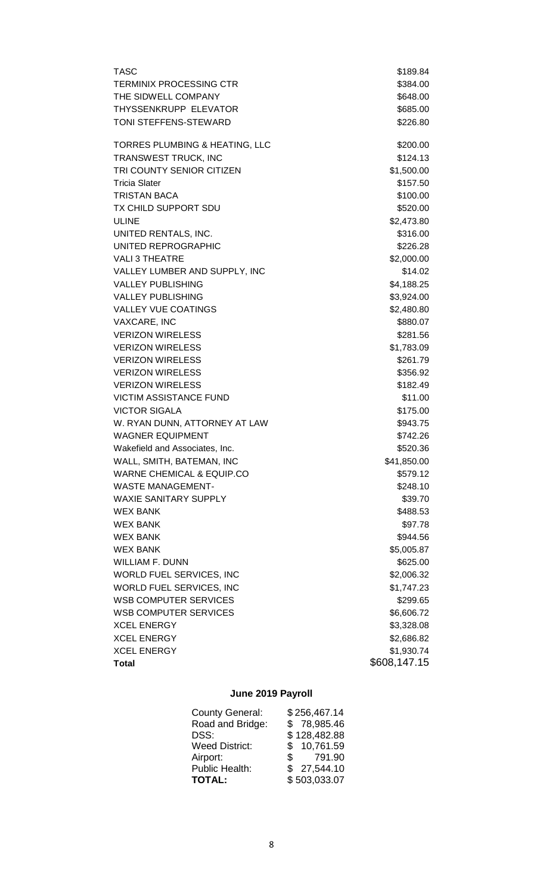| TASC                                 | \$189.84            |
|--------------------------------------|---------------------|
| TERMINIX PROCESSING CTR              | \$384.00            |
| THE SIDWELL COMPANY                  | \$648.00            |
| THYSSENKRUPP ELEVATOR                | \$685.00            |
| TONI STEFFENS-STEWARD                | \$226.80            |
| TORRES PLUMBING & HEATING, LLC       | \$200.00            |
| TRANSWEST TRUCK, INC                 | \$124.13            |
| TRI COUNTY SENIOR CITIZEN            | \$1,500.00          |
| Tricia Slater                        | \$157.50            |
| <b>TRISTAN BACA</b>                  | \$100.00            |
| TX CHILD SUPPORT SDU                 | \$520.00            |
| <b>ULINE</b>                         | \$2,473.80          |
| UNITED RENTALS, INC.                 | \$316.00            |
| UNITED REPROGRAPHIC                  | \$226.28            |
| <b>VALI 3 THEATRE</b>                | \$2,000.00          |
| VALLEY LUMBER AND SUPPLY, INC        | \$14.02             |
| <b>VALLEY PUBLISHING</b>             | \$4,188.25          |
| <b>VALLEY PUBLISHING</b>             | \$3,924.00          |
| <b>VALLEY VUE COATINGS</b>           | \$2,480.80          |
| VAXCARE, INC                         | \$880.07            |
| <b>VERIZON WIRELESS</b>              | \$281.56            |
| <b>VERIZON WIRELESS</b>              | \$1,783.09          |
| <b>VERIZON WIRELESS</b>              | \$261.79            |
| <b>VERIZON WIRELESS</b>              | \$356.92            |
| <b>VERIZON WIRELESS</b>              | \$182.49            |
| VICTIM ASSISTANCE FUND               | \$11.00             |
| <b>VICTOR SIGALA</b>                 | \$175.00            |
| W. RYAN DUNN, ATTORNEY AT LAW        | \$943.75            |
| WAGNER EQUIPMENT                     | \$742.26            |
| Wakefield and Associates, Inc.       | \$520.36            |
| WALL, SMITH, BATEMAN, INC            | \$41,850.00         |
| <b>WARNE CHEMICAL &amp; EQUIP.CO</b> | \$579.12            |
| <b>WASTE MANAGEMENT-</b>             | \$248.10            |
| <b>WAXIE SANITARY SUPPLY</b>         | \$39.70             |
| WEX BANK                             | \$488.53            |
| WEX BANK<br>WEX BANK                 | \$97.78<br>\$944.56 |
| WEX BANK                             | \$5,005.87          |
| <b>WILLIAM F. DUNN</b>               | \$625.00            |
| WORLD FUEL SERVICES, INC             | \$2,006.32          |
| WORLD FUEL SERVICES, INC             | \$1,747.23          |
| <b>WSB COMPUTER SERVICES</b>         | \$299.65            |
| <b>WSB COMPUTER SERVICES</b>         | \$6,606.72          |
| <b>XCEL ENERGY</b>                   | \$3,328.08          |
| <b>XCEL ENERGY</b>                   | \$2,686.82          |
| <b>XCEL ENERGY</b>                   | \$1,930.74          |
| Total                                | \$608,147.15        |
|                                      |                     |

# **June 2019 Payroll**

| \$256,467.14           |
|------------------------|
| \$78,985.46            |
| \$128,482.88           |
| \$10,761.59            |
| 791.90<br>$\mathbb{S}$ |
| \$27,544.10            |
| \$503,033.07           |
|                        |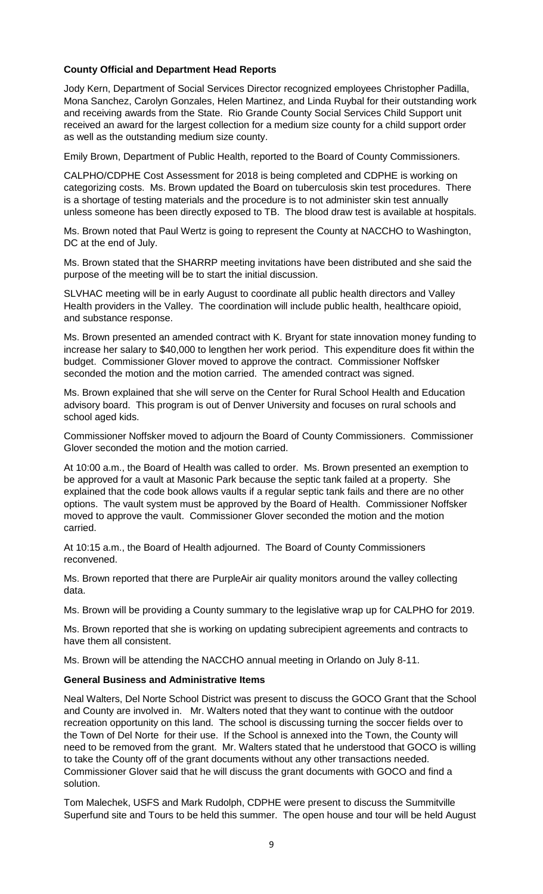### **County Official and Department Head Reports**

Jody Kern, Department of Social Services Director recognized employees Christopher Padilla, Mona Sanchez, Carolyn Gonzales, Helen Martinez, and Linda Ruybal for their outstanding work and receiving awards from the State. Rio Grande County Social Services Child Support unit received an award for the largest collection for a medium size county for a child support order as well as the outstanding medium size county.

Emily Brown, Department of Public Health, reported to the Board of County Commissioners.

CALPHO/CDPHE Cost Assessment for 2018 is being completed and CDPHE is working on categorizing costs. Ms. Brown updated the Board on tuberculosis skin test procedures. There is a shortage of testing materials and the procedure is to not administer skin test annually unless someone has been directly exposed to TB. The blood draw test is available at hospitals.

Ms. Brown noted that Paul Wertz is going to represent the County at NACCHO to Washington, DC at the end of July.

Ms. Brown stated that the SHARRP meeting invitations have been distributed and she said the purpose of the meeting will be to start the initial discussion.

SLVHAC meeting will be in early August to coordinate all public health directors and Valley Health providers in the Valley. The coordination will include public health, healthcare opioid, and substance response.

Ms. Brown presented an amended contract with K. Bryant for state innovation money funding to increase her salary to \$40,000 to lengthen her work period. This expenditure does fit within the budget. Commissioner Glover moved to approve the contract. Commissioner Noffsker seconded the motion and the motion carried. The amended contract was signed.

Ms. Brown explained that she will serve on the Center for Rural School Health and Education advisory board. This program is out of Denver University and focuses on rural schools and school aged kids.

Commissioner Noffsker moved to adjourn the Board of County Commissioners. Commissioner Glover seconded the motion and the motion carried.

At 10:00 a.m., the Board of Health was called to order. Ms. Brown presented an exemption to be approved for a vault at Masonic Park because the septic tank failed at a property. She explained that the code book allows vaults if a regular septic tank fails and there are no other options. The vault system must be approved by the Board of Health. Commissioner Noffsker moved to approve the vault. Commissioner Glover seconded the motion and the motion carried.

At 10:15 a.m., the Board of Health adjourned. The Board of County Commissioners reconvened.

Ms. Brown reported that there are PurpleAir air quality monitors around the valley collecting data.

Ms. Brown will be providing a County summary to the legislative wrap up for CALPHO for 2019.

Ms. Brown reported that she is working on updating subrecipient agreements and contracts to have them all consistent.

Ms. Brown will be attending the NACCHO annual meeting in Orlando on July 8-11.

### **General Business and Administrative Items**

Neal Walters, Del Norte School District was present to discuss the GOCO Grant that the School and County are involved in. Mr. Walters noted that they want to continue with the outdoor recreation opportunity on this land. The school is discussing turning the soccer fields over to the Town of Del Norte for their use. If the School is annexed into the Town, the County will need to be removed from the grant. Mr. Walters stated that he understood that GOCO is willing to take the County off of the grant documents without any other transactions needed. Commissioner Glover said that he will discuss the grant documents with GOCO and find a solution.

Tom Malechek, USFS and Mark Rudolph, CDPHE were present to discuss the Summitville Superfund site and Tours to be held this summer. The open house and tour will be held August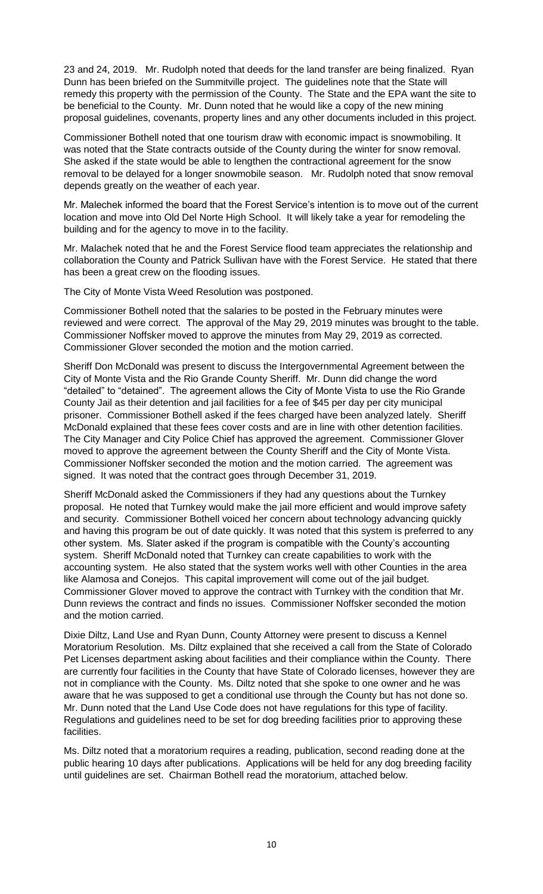23 and 24, 2019. Mr. Rudolph noted that deeds for the land transfer are being finalized. Ryan Dunn has been briefed on the Summitville project. The guidelines note that the State will remedy this property with the permission of the County. The State and the EPA want the site to be beneficial to the County. Mr. Dunn noted that he would like a copy of the new mining proposal guidelines, covenants, property lines and any other documents included in this project.

Commissioner Bothell noted that one tourism draw with economic impact is snowmobiling. It was noted that the State contracts outside of the County during the winter for snow removal. She asked if the state would be able to lengthen the contractional agreement for the snow removal to be delayed for a longer snowmobile season. Mr. Rudolph noted that snow removal depends greatly on the weather of each year.

Mr. Malechek informed the board that the Forest Service's intention is to move out of the current location and move into Old Del Norte High School. It will likely take a year for remodeling the building and for the agency to move in to the facility.

Mr. Malachek noted that he and the Forest Service flood team appreciates the relationship and collaboration the County and Patrick Sullivan have with the Forest Service. He stated that there has been a great crew on the flooding issues.

The City of Monte Vista Weed Resolution was postponed.

Commissioner Bothell noted that the salaries to be posted in the February minutes were reviewed and were correct. The approval of the May 29, 2019 minutes was brought to the table. Commissioner Noffsker moved to approve the minutes from May 29, 2019 as corrected. Commissioner Glover seconded the motion and the motion carried.

Sheriff Don McDonald was present to discuss the Intergovernmental Agreement between the City of Monte Vista and the Rio Grande County Sheriff. Mr. Dunn did change the word "detailed" to "detained". The agreement allows the City of Monte Vista to use the Rio Grande County Jail as their detention and jail facilities for a fee of \$45 per day per city municipal prisoner. Commissioner Bothell asked if the fees charged have been analyzed lately. Sheriff McDonald explained that these fees cover costs and are in line with other detention facilities. The City Manager and City Police Chief has approved the agreement. Commissioner Glover moved to approve the agreement between the County Sheriff and the City of Monte Vista. Commissioner Noffsker seconded the motion and the motion carried. The agreement was signed. It was noted that the contract goes through December 31, 2019.

Sheriff McDonald asked the Commissioners if they had any questions about the Turnkey proposal. He noted that Turnkey would make the jail more efficient and would improve safety and security. Commissioner Bothell voiced her concern about technology advancing quickly and having this program be out of date quickly. It was noted that this system is preferred to any other system. Ms. Slater asked if the program is compatible with the County's accounting system. Sheriff McDonald noted that Turnkey can create capabilities to work with the accounting system. He also stated that the system works well with other Counties in the area like Alamosa and Conejos. This capital improvement will come out of the jail budget. Commissioner Glover moved to approve the contract with Turnkey with the condition that Mr. Dunn reviews the contract and finds no issues. Commissioner Noffsker seconded the motion and the motion carried.

Dixie Diltz, Land Use and Ryan Dunn, County Attorney were present to discuss a Kennel Moratorium Resolution. Ms. Diltz explained that she received a call from the State of Colorado Pet Licenses department asking about facilities and their compliance within the County. There are currently four facilities in the County that have State of Colorado licenses, however they are not in compliance with the County. Ms. Diltz noted that she spoke to one owner and he was aware that he was supposed to get a conditional use through the County but has not done so. Mr. Dunn noted that the Land Use Code does not have regulations for this type of facility. Regulations and guidelines need to be set for dog breeding facilities prior to approving these facilities.

Ms. Diltz noted that a moratorium requires a reading, publication, second reading done at the public hearing 10 days after publications. Applications will be held for any dog breeding facility until guidelines are set. Chairman Bothell read the moratorium, attached below.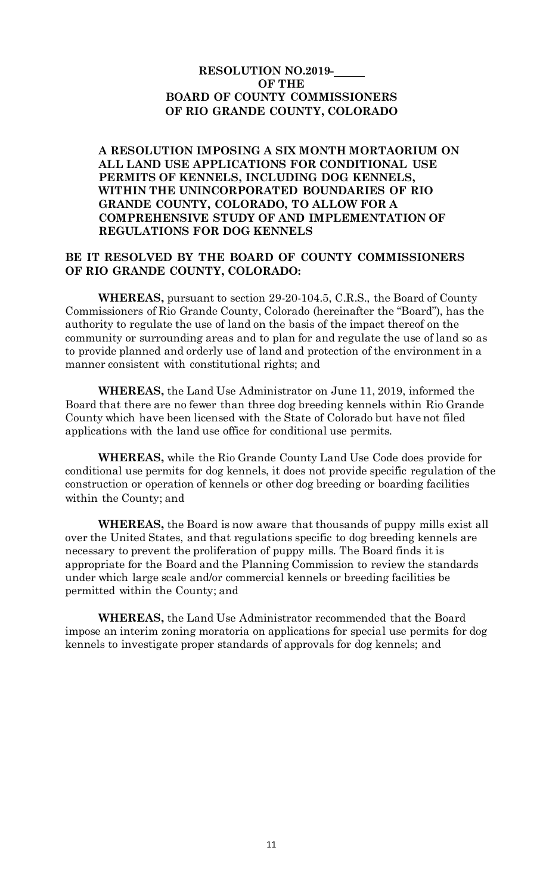# **RESOLUTION NO.2019- OF THE BOARD OF COUNTY COMMISSIONERS OF RIO GRANDE COUNTY, COLORADO**

**A RESOLUTION IMPOSING A SIX MONTH MORTAORIUM ON ALL LAND USE APPLICATIONS FOR CONDITIONAL USE PERMITS OF KENNELS, INCLUDING DOG KENNELS, WITHIN THE UNINCORPORATED BOUNDARIES OF RIO GRANDE COUNTY, COLORADO, TO ALLOW FOR A COMPREHENSIVE STUDY OF AND IMPLEMENTATION OF REGULATIONS FOR DOG KENNELS**

# **BE IT RESOLVED BY THE BOARD OF COUNTY COMMISSIONERS OF RIO GRANDE COUNTY, COLORADO:**

**WHEREAS,** pursuant to section 29-20-104.5, C.R.S., the Board of County Commissioners of Rio Grande County, Colorado (hereinafter the "Board"), has the authority to regulate the use of land on the basis of the impact thereof on the community or surrounding areas and to plan for and regulate the use of land so as to provide planned and orderly use of land and protection of the environment in a manner consistent with constitutional rights; and

**WHEREAS,** the Land Use Administrator on June 11, 2019, informed the Board that there are no fewer than three dog breeding kennels within Rio Grande County which have been licensed with the State of Colorado but have not filed applications with the land use office for conditional use permits.

**WHEREAS,** while the Rio Grande County Land Use Code does provide for conditional use permits for dog kennels, it does not provide specific regulation of the construction or operation of kennels or other dog breeding or boarding facilities within the County; and

**WHEREAS,** the Board is now aware that thousands of puppy mills exist all over the United States, and that regulations specific to dog breeding kennels are necessary to prevent the proliferation of puppy mills. The Board finds it is appropriate for the Board and the Planning Commission to review the standards under which large scale and/or commercial kennels or breeding facilities be permitted within the County; and

**WHEREAS,** the Land Use Administrator recommended that the Board impose an interim zoning moratoria on applications for special use permits for dog kennels to investigate proper standards of approvals for dog kennels; and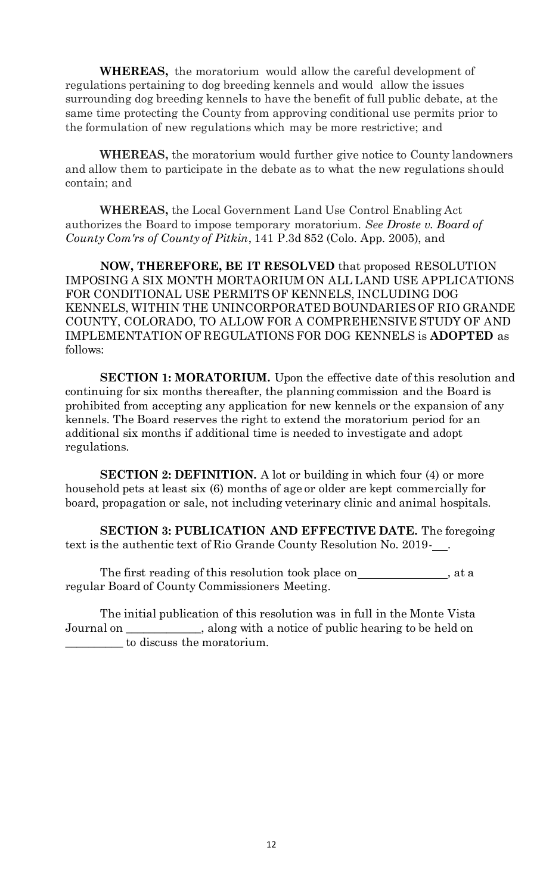**WHEREAS,** the moratorium would allow the careful development of regulations pertaining to dog breeding kennels and would allow the issues surrounding dog breeding kennels to have the benefit of full public debate, at the same time protecting the County from approving conditional use permits prior to the formulation of new regulations which may be more restrictive; and

**WHEREAS,** the moratorium would further give notice to County landowners and allow them to participate in the debate as to what the new regulations should contain; and

**WHEREAS,** the Local Government Land Use Control Enabling Act authorizes the Board to impose temporary moratorium. *See Droste v. Board of County Com'rs of County of Pitkin*, 141 P.3d 852 (Colo. App. 2005), and

**NOW, THEREFORE, BE IT RESOLVED** that proposed RESOLUTION IMPOSING A SIX MONTH MORTAORIUM ON ALL LAND USE APPLICATIONS FOR CONDITIONAL USE PERMITS OF KENNELS, INCLUDING DOG KENNELS, WITHIN THE UNINCORPORATED BOUNDARIES OF RIO GRANDE COUNTY, COLORADO, TO ALLOW FOR A COMPREHENSIVE STUDY OF AND IMPLEMENTATION OF REGULATIONS FOR DOG KENNELS is **ADOPTED** as follows:

**SECTION 1: MORATORIUM.** Upon the effective date of this resolution and continuing for six months thereafter, the planning commission and the Board is prohibited from accepting any application for new kennels or the expansion of any kennels. The Board reserves the right to extend the moratorium period for an additional six months if additional time is needed to investigate and adopt regulations.

**SECTION 2: DEFINITION.** A lot or building in which four (4) or more household pets at least six (6) months of age or older are kept commercially for board, propagation or sale, not including veterinary clinic and animal hospitals.

**SECTION 3: PUBLICATION AND EFFECTIVE DATE.** The foregoing text is the authentic text of Rio Grande County Resolution No. 2019- .

The first reading of this resolution took place on \_\_\_\_\_\_\_\_\_\_\_\_, at a regular Board of County Commissioners Meeting.

The initial publication of this resolution was in full in the Monte Vista Journal on \_\_\_\_\_\_\_\_\_\_\_\_\_, along with a notice of public hearing to be held on \_\_\_\_\_\_\_\_\_\_ to discuss the moratorium.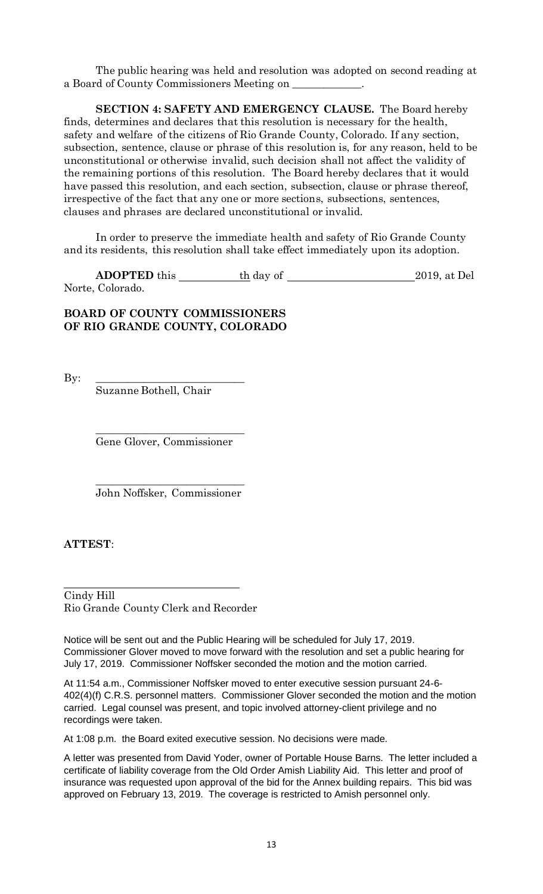The public hearing was held and resolution was adopted on second reading at a Board of County Commissioners Meeting on

**SECTION 4: SAFETY AND EMERGENCY CLAUSE.** The Board hereby finds, determines and declares that this resolution is necessary for the health, safety and welfare of the citizens of Rio Grande County, Colorado. If any section, subsection, sentence, clause or phrase of this resolution is, for any reason, held to be unconstitutional or otherwise invalid, such decision shall not affect the validity of the remaining portions of this resolution. The Board hereby declares that it would have passed this resolution, and each section, subsection, clause or phrase thereof, irrespective of the fact that any one or more sections, subsections, sentences, clauses and phrases are declared unconstitutional or invalid.

In order to preserve the immediate health and safety of Rio Grande County and its residents, this resolution shall take effect immediately upon its adoption.

**ADOPTED** this the day of 2019, at Del Norte, Colorado.

# **BOARD OF COUNTY COMMISSIONERS OF RIO GRANDE COUNTY, COLORADO**

By: \_\_\_\_\_\_\_\_\_\_\_\_\_\_\_\_\_\_\_\_\_\_\_\_\_\_\_\_

Suzanne Bothell, Chair

\_\_\_\_\_\_\_\_\_\_\_\_\_\_\_\_\_\_\_\_\_\_\_\_\_\_\_\_ Gene Glover, Commissioner

\_\_\_\_\_\_\_\_\_\_\_\_\_\_\_\_\_\_\_\_\_\_\_\_\_\_\_\_ John Noffsker, Commissioner

**ATTEST**:

Cindy Hill Rio Grande County Clerk and Recorder

Notice will be sent out and the Public Hearing will be scheduled for July 17, 2019. Commissioner Glover moved to move forward with the resolution and set a public hearing for July 17, 2019. Commissioner Noffsker seconded the motion and the motion carried.

At 11:54 a.m., Commissioner Noffsker moved to enter executive session pursuant 24-6- 402(4)(f) C.R.S. personnel matters. Commissioner Glover seconded the motion and the motion carried. Legal counsel was present, and topic involved attorney-client privilege and no recordings were taken.

At 1:08 p.m. the Board exited executive session. No decisions were made.

A letter was presented from David Yoder, owner of Portable House Barns. The letter included a certificate of liability coverage from the Old Order Amish Liability Aid. This letter and proof of insurance was requested upon approval of the bid for the Annex building repairs. This bid was approved on February 13, 2019. The coverage is restricted to Amish personnel only.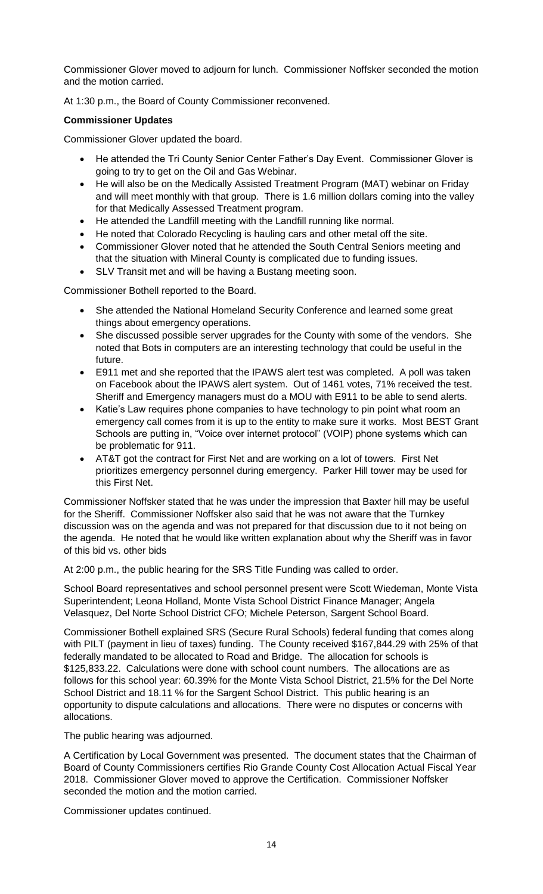Commissioner Glover moved to adjourn for lunch. Commissioner Noffsker seconded the motion and the motion carried.

At 1:30 p.m., the Board of County Commissioner reconvened.

### **Commissioner Updates**

Commissioner Glover updated the board.

- He attended the Tri County Senior Center Father's Day Event. Commissioner Glover is going to try to get on the Oil and Gas Webinar.
- He will also be on the Medically Assisted Treatment Program (MAT) webinar on Friday and will meet monthly with that group. There is 1.6 million dollars coming into the valley for that Medically Assessed Treatment program.
- He attended the Landfill meeting with the Landfill running like normal.
- He noted that Colorado Recycling is hauling cars and other metal off the site.
- Commissioner Glover noted that he attended the South Central Seniors meeting and that the situation with Mineral County is complicated due to funding issues.
- SLV Transit met and will be having a Bustang meeting soon.

Commissioner Bothell reported to the Board.

- She attended the National Homeland Security Conference and learned some great things about emergency operations.
- She discussed possible server upgrades for the County with some of the vendors. She noted that Bots in computers are an interesting technology that could be useful in the future.
- E911 met and she reported that the IPAWS alert test was completed. A poll was taken on Facebook about the IPAWS alert system. Out of 1461 votes, 71% received the test. Sheriff and Emergency managers must do a MOU with E911 to be able to send alerts.
- Katie's Law requires phone companies to have technology to pin point what room an emergency call comes from it is up to the entity to make sure it works. Most BEST Grant Schools are putting in, "Voice over internet protocol" (VOIP) phone systems which can be problematic for 911.
- AT&T got the contract for First Net and are working on a lot of towers. First Net prioritizes emergency personnel during emergency. Parker Hill tower may be used for this First Net.

Commissioner Noffsker stated that he was under the impression that Baxter hill may be useful for the Sheriff. Commissioner Noffsker also said that he was not aware that the Turnkey discussion was on the agenda and was not prepared for that discussion due to it not being on the agenda. He noted that he would like written explanation about why the Sheriff was in favor of this bid vs. other bids

At 2:00 p.m., the public hearing for the SRS Title Funding was called to order.

School Board representatives and school personnel present were Scott Wiedeman, Monte Vista Superintendent; Leona Holland, Monte Vista School District Finance Manager; Angela Velasquez, Del Norte School District CFO; Michele Peterson, Sargent School Board.

Commissioner Bothell explained SRS (Secure Rural Schools) federal funding that comes along with PILT (payment in lieu of taxes) funding. The County received \$167,844.29 with 25% of that federally mandated to be allocated to Road and Bridge. The allocation for schools is \$125,833.22. Calculations were done with school count numbers. The allocations are as follows for this school year: 60.39% for the Monte Vista School District, 21.5% for the Del Norte School District and 18.11 % for the Sargent School District. This public hearing is an opportunity to dispute calculations and allocations. There were no disputes or concerns with allocations.

The public hearing was adjourned.

A Certification by Local Government was presented. The document states that the Chairman of Board of County Commissioners certifies Rio Grande County Cost Allocation Actual Fiscal Year 2018. Commissioner Glover moved to approve the Certification. Commissioner Noffsker seconded the motion and the motion carried.

Commissioner updates continued.